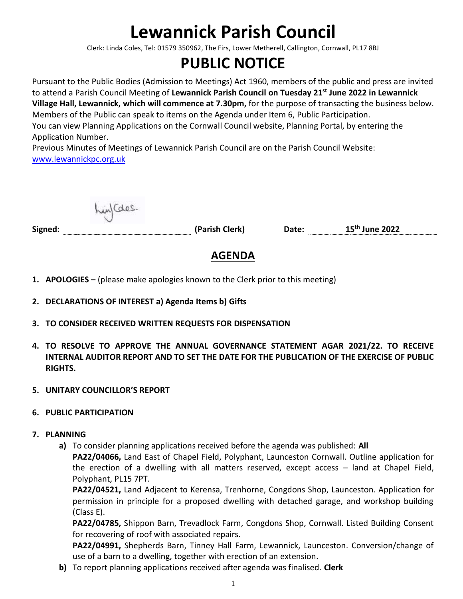# **Lewannick Parish Council**

Clerk: Linda Coles, Tel: 01579 350962, The Firs, Lower Metherell, Callington, Cornwall, PL17 8BJ

## **PUBLIC NOTICE**

Pursuant to the Public Bodies (Admission to Meetings) Act 1960, members of the public and press are invited to attend a Parish Council Meeting of **Lewannick Parish Council on Tuesday 21st June 2022 in Lewannick Village Hall, Lewannick, which will commence at 7.30pm,** for the purpose of transacting the business below. Members of the Public can speak to items on the Agenda under Item 6, Public Participation. You can view Planning Applications on the Cornwall Council website, Planning Portal, by entering the Application Number.

Previous Minutes of Meetings of Lewannick Parish Council are on the Parish Council Website: [www.lewannickpc.org.uk](http://www.lewannickpc.org.uk/)

in/Cales.

**Signed: (Parish Clerk) Date: 15 th June 2022**

### **AGENDA**

- **1. APOLOGIES –** (please make apologies known to the Clerk prior to this meeting)
- **2. DECLARATIONS OF INTEREST a) Agenda Items b) Gifts**
- **3. TO CONSIDER RECEIVED WRITTEN REQUESTS FOR DISPENSATION**
- **4. TO RESOLVE TO APPROVE THE ANNUAL GOVERNANCE STATEMENT AGAR 2021/22. TO RECEIVE INTERNAL AUDITOR REPORT AND TO SET THE DATE FOR THE PUBLICATION OF THE EXERCISE OF PUBLIC RIGHTS.**
- **5. UNITARY COUNCILLOR'S REPORT**
- **6. PUBLIC PARTICIPATION**
- **7. PLANNING**
	- **a)** To consider planning applications received before the agenda was published: **All**

**PA22/04066,** Land East of Chapel Field, Polyphant, Launceston Cornwall. Outline application for the erection of a dwelling with all matters reserved, except access – land at Chapel Field, Polyphant, PL15 7PT.

**PA22/04521,** Land Adjacent to Kerensa, Trenhorne, Congdons Shop, Launceston. Application for permission in principle for a proposed dwelling with detached garage, and workshop building (Class E).

**PA22/04785,** Shippon Barn, Trevadlock Farm, Congdons Shop, Cornwall. Listed Building Consent for recovering of roof with associated repairs.

**PA22/04991,** Shepherds Barn, Tinney Hall Farm, Lewannick, Launceston. Conversion/change of use of a barn to a dwelling, together with erection of an extension.

**b)** To report planning applications received after agenda was finalised. **Clerk**